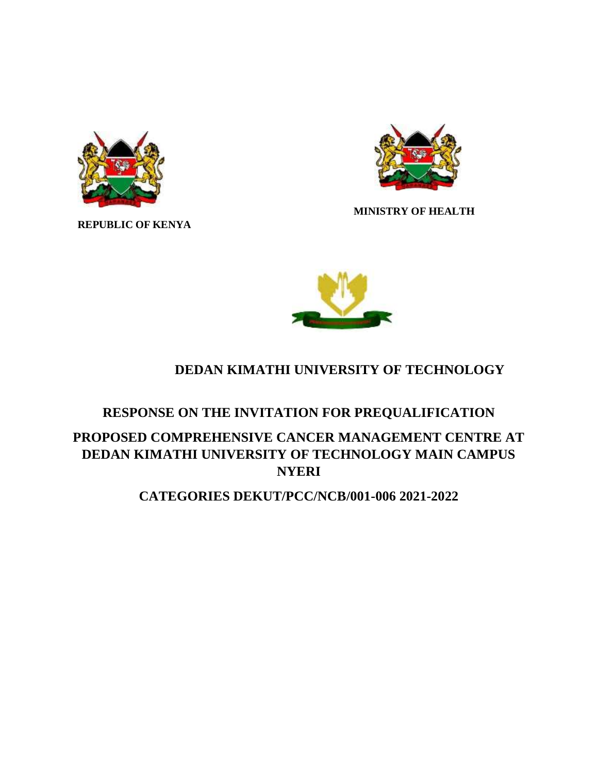

**REPUBLIC OF KENYA**



 **MINISTRY OF HEALTH** 



# **DEDAN KIMATHI UNIVERSITY OF TECHNOLOGY**

## **RESPONSE ON THE INVITATION FOR PREQUALIFICATION**

# **PROPOSED COMPREHENSIVE CANCER MANAGEMENT CENTRE AT DEDAN KIMATHI UNIVERSITY OF TECHNOLOGY MAIN CAMPUS NYERI**

## **CATEGORIES DEKUT/PCC/NCB/001-006 2021-2022**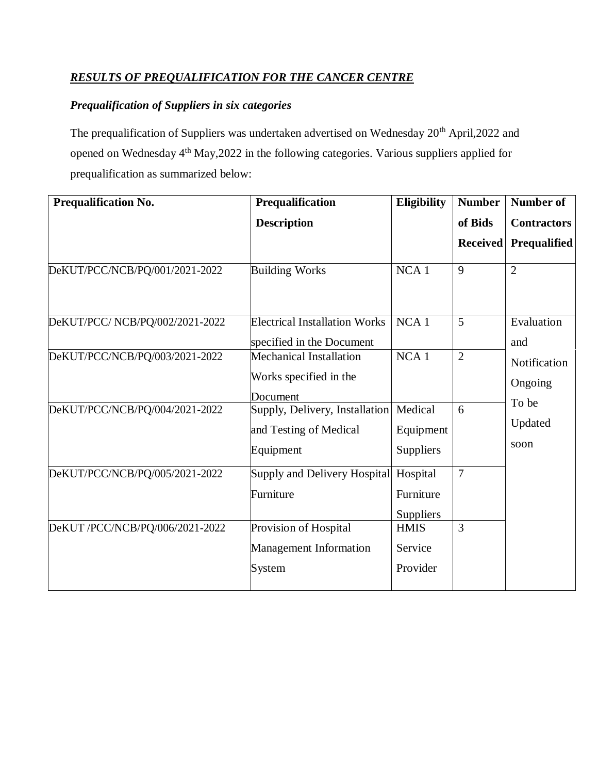### *RESULTS OF PREQUALIFICATION FOR THE CANCER CENTRE*

## *Prequalification of Suppliers in six categories*

The prequalification of Suppliers was undertaken advertised on Wednesday 20<sup>th</sup> April,2022 and opened on Wednesday 4th May,2022 in the following categories. Various suppliers applied for prequalification as summarized below:

| <b>Prequalification No.</b>     | Prequalification                                                      | <b>Eligibility</b>                 | <b>Number</b>   | <b>Number of</b>         |
|---------------------------------|-----------------------------------------------------------------------|------------------------------------|-----------------|--------------------------|
|                                 | <b>Description</b>                                                    |                                    | of Bids         | <b>Contractors</b>       |
|                                 |                                                                       |                                    | <b>Received</b> | Prequalified             |
| DeKUT/PCC/NCB/PQ/001/2021-2022  | <b>Building Works</b>                                                 | $NCA$ 1                            | 9               | $\overline{2}$           |
| DeKUT/PCC/ NCB/PQ/002/2021-2022 | <b>Electrical Installation Works</b><br>specified in the Document     | NCA <sub>1</sub>                   | 5               | Evaluation<br>and        |
| DeKUT/PCC/NCB/PQ/003/2021-2022  | Mechanical Installation<br>Works specified in the<br>Document         | $NCA$ 1                            | $\overline{2}$  | Notification<br>Ongoing  |
| DeKUT/PCC/NCB/PQ/004/2021-2022  | Supply, Delivery, Installation<br>and Testing of Medical<br>Equipment | Medical<br>Equipment<br>Suppliers  | 6               | To be<br>Updated<br>soon |
| DeKUT/PCC/NCB/PQ/005/2021-2022  | Supply and Delivery Hospital<br>Furniture                             | Hospital<br>Furniture<br>Suppliers | $\overline{7}$  |                          |
| DeKUT /PCC/NCB/PQ/006/2021-2022 | Provision of Hospital<br><b>Management Information</b><br>System      | <b>HMIS</b><br>Service<br>Provider | 3               |                          |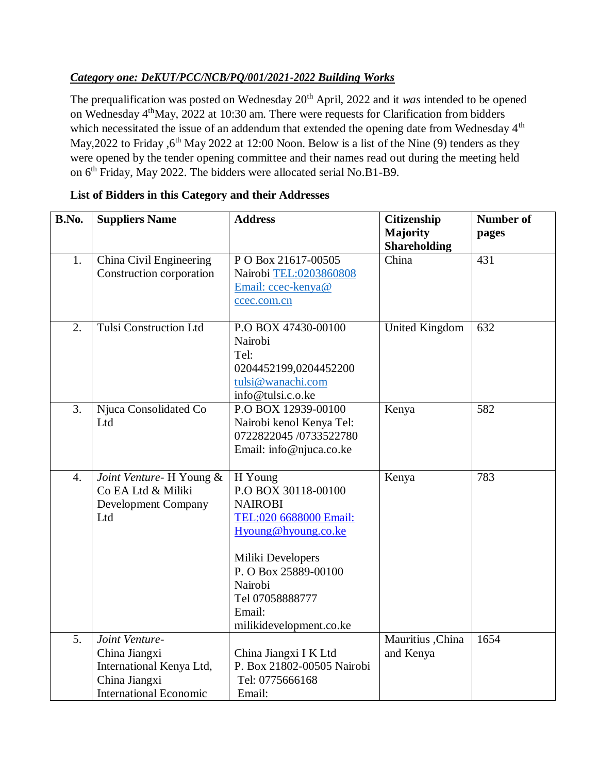### *Category one: DeKUT/PCC/NCB/PQ/001/2021-2022 Building Works*

The prequalification was posted on Wednesday 20<sup>th</sup> April, 2022 and it *was* intended to be opened on Wednesday 4<sup>th</sup>May, 2022 at 10:30 am. There were requests for Clarification from bidders which necessitated the issue of an addendum that extended the opening date from Wednesday 4<sup>th</sup> May, 2022 to Friday , 6<sup>th</sup> May 2022 at 12:00 Noon. Below is a list of the Nine (9) tenders as they were opened by the tender opening committee and their names read out during the meeting held on 6th Friday, May 2022. The bidders were allocated serial No.B1-B9.

| B.No.            | <b>Suppliers Name</b>                                                                                         | <b>Address</b>                                                                                                                                                                                                    | Citizenship<br>Majority<br><b>Shareholding</b> | <b>Number of</b><br>pages |
|------------------|---------------------------------------------------------------------------------------------------------------|-------------------------------------------------------------------------------------------------------------------------------------------------------------------------------------------------------------------|------------------------------------------------|---------------------------|
| 1.               | China Civil Engineering<br>Construction corporation                                                           | PO Box 21617-00505<br>Nairobi TEL:0203860808<br>Email: ccec-kenya@<br>ccec.com.cn                                                                                                                                 | China                                          | 431                       |
| 2.               | <b>Tulsi Construction Ltd</b>                                                                                 | P.O BOX 47430-00100<br>Nairobi<br>Tel:<br>0204452199,0204452200<br>tulsi@wanachi.com<br>info@tulsi.c.o.ke                                                                                                         | <b>United Kingdom</b>                          | 632                       |
| 3.               | Njuca Consolidated Co<br>Ltd                                                                                  | P.O BOX 12939-00100<br>Nairobi kenol Kenya Tel:<br>0722822045 /0733522780<br>Email: info@njuca.co.ke                                                                                                              | Kenya                                          | 582                       |
| $\overline{4}$ . | Joint Venture- H Young &<br>Co EA Ltd & Miliki<br><b>Development Company</b><br>Ltd                           | H Young<br>P.O BOX 30118-00100<br><b>NAIROBI</b><br>TEL:020 6688000 Email:<br>Hyoung@hyoung.co.ke<br>Miliki Developers<br>P. O Box 25889-00100<br>Nairobi<br>Tel 07058888777<br>Email:<br>milikidevelopment.co.ke | Kenya                                          | 783                       |
| 5.               | Joint Venture-<br>China Jiangxi<br>International Kenya Ltd,<br>China Jiangxi<br><b>International Economic</b> | China Jiangxi I K Ltd<br>P. Box 21802-00505 Nairobi<br>Tel: 0775666168<br>Email:                                                                                                                                  | Mauritius , China<br>and Kenya                 | 1654                      |

### **List of Bidders in this Category and their Addresses**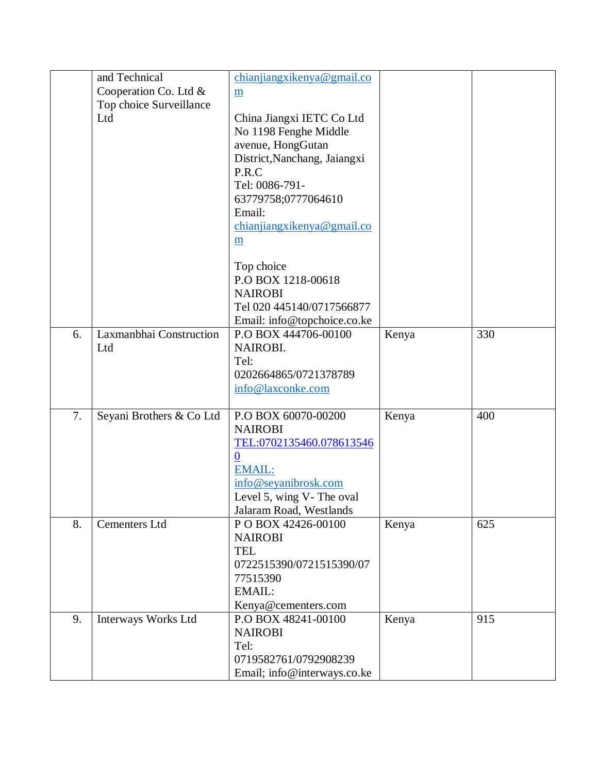|    | and Technical            | chianjiangxikenya@gmail.co   |       |     |
|----|--------------------------|------------------------------|-------|-----|
|    | Cooperation Co. Ltd &    | $\underline{m}$              |       |     |
|    | Top choice Surveillance  |                              |       |     |
|    | Ltd                      | China Jiangxi IETC Co Ltd    |       |     |
|    |                          | No 1198 Fenghe Middle        |       |     |
|    |                          | avenue, HongGutan            |       |     |
|    |                          | District, Nanchang, Jaiangxi |       |     |
|    |                          | P.R.C                        |       |     |
|    |                          | Tel: 0086-791-               |       |     |
|    |                          | 63779758;0777064610          |       |     |
|    |                          | Email:                       |       |     |
|    |                          | chianjiangxikenya@gmail.co   |       |     |
|    |                          | $\underline{m}$              |       |     |
|    |                          |                              |       |     |
|    |                          | Top choice                   |       |     |
|    |                          | P.O BOX 1218-00618           |       |     |
|    |                          | <b>NAIROBI</b>               |       |     |
|    |                          | Tel 020 445140/0717566877    |       |     |
|    |                          | Email: info@topchoice.co.ke  |       |     |
| 6. | Laxmanbhai Construction  | P.O BOX 444706-00100         | Kenya | 330 |
|    | Ltd                      | NAIROBI.                     |       |     |
|    |                          | Tel:                         |       |     |
|    |                          | 0202664865/0721378789        |       |     |
|    |                          | info@laxconke.com            |       |     |
|    |                          |                              |       |     |
| 7. | Seyani Brothers & Co Ltd | P.O BOX 60070-00200          | Kenya | 400 |
|    |                          | <b>NAIROBI</b>               |       |     |
|    |                          | TEL:0702135460.078613546     |       |     |
|    |                          | $\bf{0}$                     |       |     |
|    |                          | <b>EMAIL:</b>                |       |     |
|    |                          | info@seyanibrosk.com         |       |     |
|    |                          | Level 5, wing V- The oval    |       |     |
|    |                          | Jalaram Road, Westlands      |       |     |
| 8. | <b>Cementers Ltd</b>     | POBOX 42426-00100            | Kenya | 625 |
|    |                          | <b>NAIROBI</b>               |       |     |
|    |                          | <b>TEL</b>                   |       |     |
|    |                          | 0722515390/0721515390/07     |       |     |
|    |                          | 77515390                     |       |     |
|    |                          | <b>EMAIL:</b>                |       |     |
|    |                          | Kenya@cementers.com          |       |     |
| 9. | Interways Works Ltd      | P.O BOX 48241-00100          | Kenya | 915 |
|    |                          | <b>NAIROBI</b>               |       |     |
|    |                          | Tel:                         |       |     |
|    |                          | 0719582761/0792908239        |       |     |
|    |                          | Email; info@interways.co.ke  |       |     |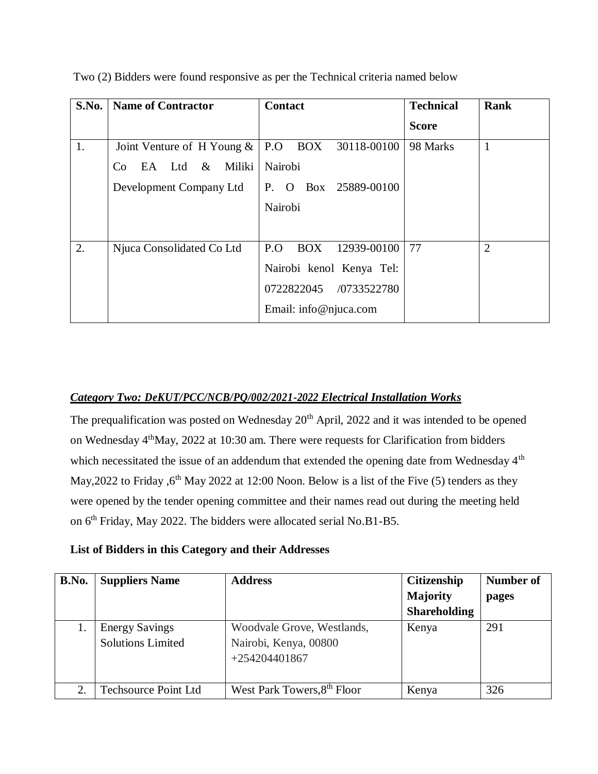| S.No. | <b>Name of Contractor</b>     | <b>Contact</b>                    | <b>Technical</b> | <b>Rank</b>    |
|-------|-------------------------------|-----------------------------------|------------------|----------------|
|       |                               |                                   | <b>Score</b>     |                |
| 1.    | Joint Venture of H Young $\&$ | P.O BOX 30118-00100               | 98 Marks         | $\mathbf{1}$   |
|       | EA Ltd &<br>Miliki<br>Co.     | Nairobi                           |                  |                |
|       | Development Company Ltd       | Box 25889-00100<br>P.<br>$\Omega$ |                  |                |
|       |                               | Nairobi                           |                  |                |
|       |                               |                                   |                  |                |
| 2.    | Njuca Consolidated Co Ltd     | P.O<br><b>BOX</b><br>12939-00100  | 77               | $\overline{2}$ |
|       |                               | Nairobi kenol Kenya Tel:          |                  |                |
|       |                               | 0722822045 /0733522780            |                  |                |
|       |                               | Email: info@njuca.com             |                  |                |

Two (2) Bidders were found responsive as per the Technical criteria named below

#### *Category Two: DeKUT/PCC/NCB/PQ/002/2021-2022 Electrical Installation Works*

The prequalification was posted on Wednesday 20<sup>th</sup> April, 2022 and it was intended to be opened on Wednesday 4<sup>th</sup>May, 2022 at 10:30 am. There were requests for Clarification from bidders which necessitated the issue of an addendum that extended the opening date from Wednesday 4<sup>th</sup> May, 2022 to Friday ,  $6<sup>th</sup>$  May 2022 at 12:00 Noon. Below is a list of the Five (5) tenders as they were opened by the tender opening committee and their names read out during the meeting held on 6<sup>th</sup> Friday, May 2022. The bidders were allocated serial No.B1-B5.

|  |  |  |  |  |  |  |  |  |  | List of Bidders in this Category and their Addresses |
|--|--|--|--|--|--|--|--|--|--|------------------------------------------------------|
|--|--|--|--|--|--|--|--|--|--|------------------------------------------------------|

| B.No. | <b>Suppliers Name</b>                             | <b>Address</b>                                                         | <b>Citizenship</b>  | <b>Number of</b> |
|-------|---------------------------------------------------|------------------------------------------------------------------------|---------------------|------------------|
|       |                                                   |                                                                        | Majority            | pages            |
|       |                                                   |                                                                        | <b>Shareholding</b> |                  |
|       | <b>Energy Savings</b><br><b>Solutions Limited</b> | Woodvale Grove, Westlands,<br>Nairobi, Kenya, 00800<br>$+254204401867$ | Kenya               | 291              |
| 2.    | <b>Techsource Point Ltd</b>                       | West Park Towers, 8 <sup>th</sup> Floor                                | Kenya               | 326              |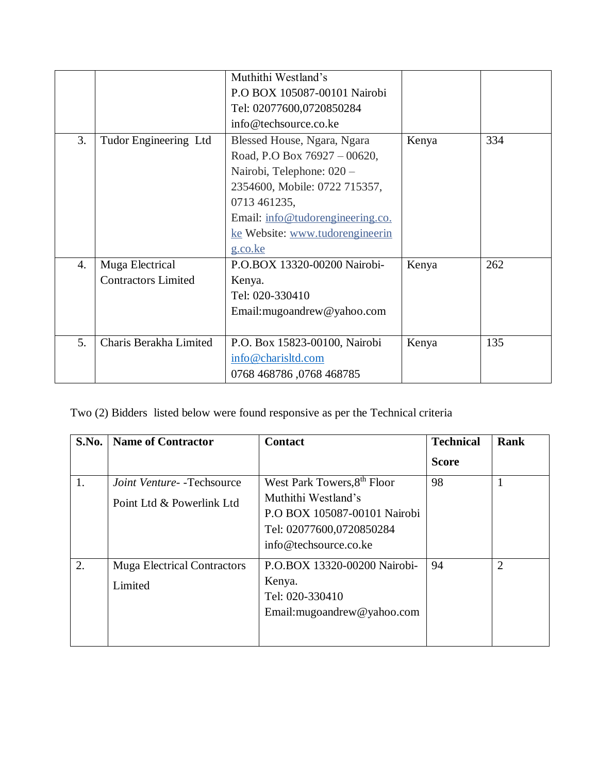|    |                            | Muthithi Westland's              |       |     |
|----|----------------------------|----------------------------------|-------|-----|
|    |                            | P.O BOX 105087-00101 Nairobi     |       |     |
|    |                            | Tel: 02077600,0720850284         |       |     |
|    |                            | info@techsource.co.ke            |       |     |
| 3. | Tudor Engineering Ltd      | Blessed House, Ngara, Ngara      | Kenya | 334 |
|    |                            | Road, P.O Box 76927 - 00620,     |       |     |
|    |                            | Nairobi, Telephone: 020 -        |       |     |
|    |                            | 2354600, Mobile: 0722 715357,    |       |     |
|    |                            | 0713 461235,                     |       |     |
|    |                            | Email: info@tudorengineering.co. |       |     |
|    |                            | ke Website: www.tudorengineerin  |       |     |
|    |                            | g.co.ke                          |       |     |
| 4. | Muga Electrical            | P.O.BOX 13320-00200 Nairobi-     | Kenya | 262 |
|    | <b>Contractors Limited</b> | Kenya.                           |       |     |
|    |                            | Tel: 020-330410                  |       |     |
|    |                            | Email: mugoandrew@yahoo.com      |       |     |
|    |                            |                                  |       |     |
| 5. | Charis Berakha Limited     | P.O. Box 15823-00100, Nairobi    | Kenya | 135 |
|    |                            | info@charisltd.com               |       |     |
|    |                            | 0768 468786, 0768 468785         |       |     |

# Two (2) Bidders listed below were found responsive as per the Technical criteria

| S.No. | <b>Name of Contractor</b>                     | <b>Contact</b>                                                                                           | <b>Technical</b> | <b>Rank</b>    |
|-------|-----------------------------------------------|----------------------------------------------------------------------------------------------------------|------------------|----------------|
|       |                                               |                                                                                                          | <b>Score</b>     |                |
| 1.    | <i>Joint Venture</i> - - Techsource           | West Park Towers, 8 <sup>th</sup> Floor                                                                  | 98               |                |
|       | Point Ltd & Powerlink Ltd                     | Muthithi Westland's<br>P.O BOX 105087-00101 Nairobi<br>Tel: 02077600,0720850284<br>info@techsource.co.ke |                  |                |
| 2.    | <b>Muga Electrical Contractors</b><br>Limited | P.O.BOX 13320-00200 Nairobi-<br>Kenya.<br>Tel: 020-330410<br>Email: mugoandrew@yahoo.com                 | 94               | $\overline{2}$ |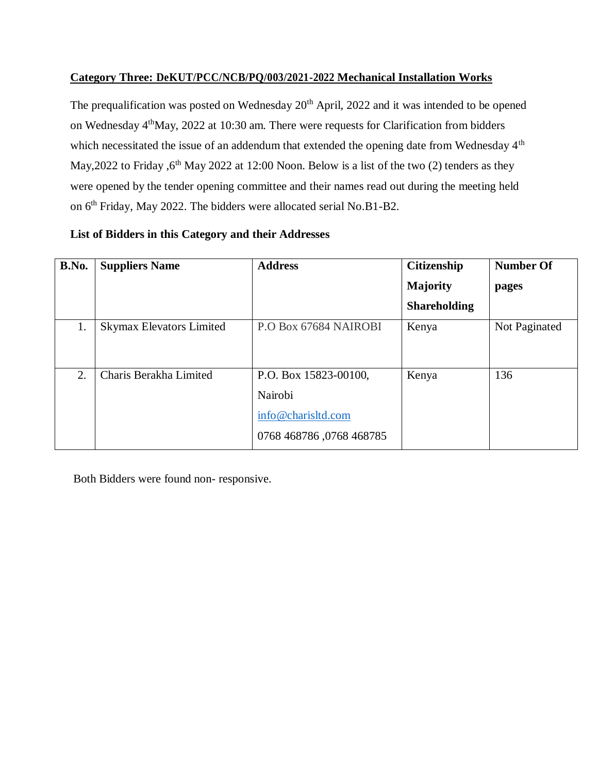#### **Category Three: DeKUT/PCC/NCB/PQ/003/2021-2022 Mechanical Installation Works**

The prequalification was posted on Wednesday 20<sup>th</sup> April, 2022 and it was intended to be opened on Wednesday 4<sup>th</sup>May, 2022 at 10:30 am. There were requests for Clarification from bidders which necessitated the issue of an addendum that extended the opening date from Wednesday 4<sup>th</sup> May, 2022 to Friday,  $6<sup>th</sup>$  May 2022 at 12:00 Noon. Below is a list of the two (2) tenders as they were opened by the tender opening committee and their names read out during the meeting held on 6<sup>th</sup> Friday, May 2022. The bidders were allocated serial No.B1-B2.

## **List of Bidders in this Category and their Addresses**

| B.No. | <b>Suppliers Name</b>           | <b>Address</b>           | <b>Citizenship</b>  | <b>Number Of</b> |
|-------|---------------------------------|--------------------------|---------------------|------------------|
|       |                                 |                          | <b>Majority</b>     | pages            |
|       |                                 |                          | <b>Shareholding</b> |                  |
| 1.    | <b>Skymax Elevators Limited</b> | P.O Box 67684 NAIROBI    | Kenya               | Not Paginated    |
|       |                                 |                          |                     |                  |
| 2.    | Charis Berakha Limited          | P.O. Box 15823-00100,    | Kenya               | 136              |
|       |                                 | Nairobi                  |                     |                  |
|       |                                 | info@charisltd.com       |                     |                  |
|       |                                 | 0768 468786, 0768 468785 |                     |                  |

Both Bidders were found non- responsive.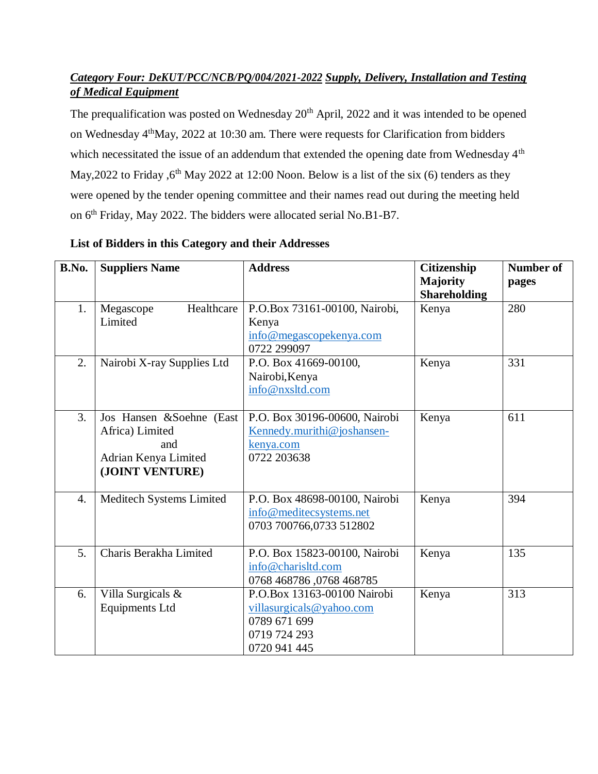## *Category Four: DeKUT/PCC/NCB/PQ/004/2021-2022 Supply, Delivery, Installation and Testing of Medical Equipment*

The prequalification was posted on Wednesday 20<sup>th</sup> April, 2022 and it was intended to be opened on Wednesday 4thMay, 2022 at 10:30 am. There were requests for Clarification from bidders which necessitated the issue of an addendum that extended the opening date from Wednesday 4<sup>th</sup> May, 2022 to Friday ,  $6<sup>th</sup>$  May 2022 at 12:00 Noon. Below is a list of the six (6) tenders as they were opened by the tender opening committee and their names read out during the meeting held on 6<sup>th</sup> Friday, May 2022. The bidders were allocated serial No.B1-B7.

| B.No.            | <b>Suppliers Name</b>                                                                         | <b>Address</b>                                                                                          | <b>Citizenship</b><br><b>Majority</b> | <b>Number of</b><br>pages |
|------------------|-----------------------------------------------------------------------------------------------|---------------------------------------------------------------------------------------------------------|---------------------------------------|---------------------------|
| 1.               | Healthcare<br>Megascope<br>Limited                                                            | P.O.Box 73161-00100, Nairobi,<br>Kenya<br>info@megascopekenya.com<br>0722 299097                        | <b>Shareholding</b><br>Kenya          | 280                       |
| 2.               | Nairobi X-ray Supplies Ltd                                                                    | P.O. Box 41669-00100,<br>Nairobi, Kenya<br>info@nxsltd.com                                              | Kenya                                 | 331                       |
| 3.               | Jos Hansen &Soehne (East<br>Africa) Limited<br>and<br>Adrian Kenya Limited<br>(JOINT VENTURE) | P.O. Box 30196-00600, Nairobi<br>Kennedy.murithi@joshansen-<br>kenya.com<br>0722 203638                 | Kenya                                 | 611                       |
| $\overline{4}$ . | Meditech Systems Limited                                                                      | P.O. Box 48698-00100, Nairobi<br>info@meditecsystems.net<br>0703 700766,0733 512802                     | Kenya                                 | 394                       |
| 5.               | Charis Berakha Limited                                                                        | P.O. Box 15823-00100, Nairobi<br>info@charisltd.com<br>0768 468786,0768 468785                          | Kenya                                 | 135                       |
| 6.               | Villa Surgicals &<br><b>Equipments Ltd</b>                                                    | P.O.Box 13163-00100 Nairobi<br>villasurgicals@yahoo.com<br>0789 671 699<br>0719 724 293<br>0720 941 445 | Kenya                                 | 313                       |

## **List of Bidders in this Category and their Addresses**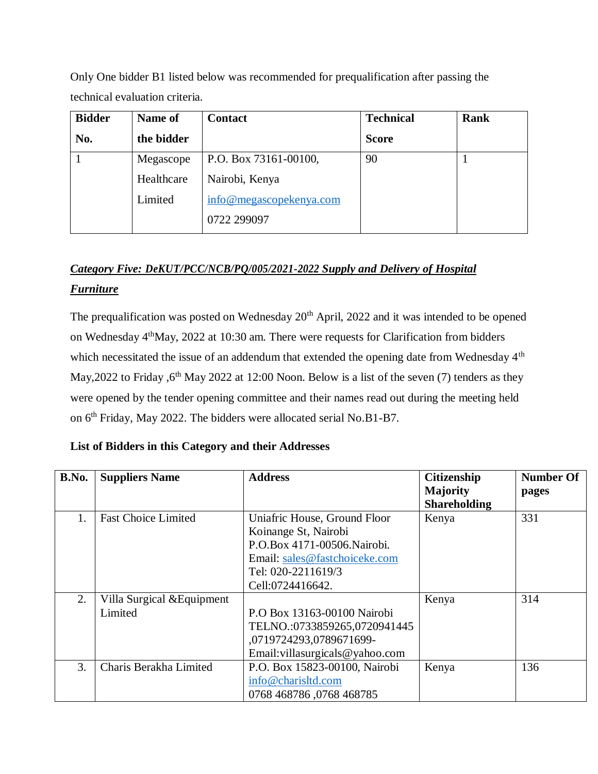Only One bidder B1 listed below was recommended for prequalification after passing the technical evaluation criteria.

| <b>Bidder</b> | Name of    | <b>Contact</b>          | <b>Technical</b> | <b>Rank</b> |
|---------------|------------|-------------------------|------------------|-------------|
| No.           | the bidder |                         | <b>Score</b>     |             |
|               | Megascope  | P.O. Box 73161-00100,   | 90               |             |
|               | Healthcare | Nairobi, Kenya          |                  |             |
|               | Limited    | info@megascopekenya.com |                  |             |
|               |            | 0722 299097             |                  |             |

# *Category Five: DeKUT/PCC/NCB/PQ/005/2021-2022 Supply and Delivery of Hospital Furniture*

The prequalification was posted on Wednesday 20<sup>th</sup> April, 2022 and it was intended to be opened on Wednesday 4thMay, 2022 at 10:30 am. There were requests for Clarification from bidders which necessitated the issue of an addendum that extended the opening date from Wednesday 4<sup>th</sup> May, 2022 to Friday , 6<sup>th</sup> May 2022 at 12:00 Noon. Below is a list of the seven (7) tenders as they were opened by the tender opening committee and their names read out during the meeting held on 6<sup>th</sup> Friday, May 2022. The bidders were allocated serial No.B1-B7.

### **List of Bidders in this Category and their Addresses**

| B.No. | <b>Suppliers Name</b>      | <b>Address</b>                      | <b>Citizenship</b>  | <b>Number Of</b> |
|-------|----------------------------|-------------------------------------|---------------------|------------------|
|       |                            |                                     | Majority            | pages            |
|       |                            |                                     | <b>Shareholding</b> |                  |
| 1.    | <b>Fast Choice Limited</b> | Uniafric House, Ground Floor        | Kenya               | 331              |
|       |                            | Koinange St, Nairobi                |                     |                  |
|       |                            | P.O.Box 4171-00506. Nairobi.        |                     |                  |
|       |                            | Email: sales@fastchoiceke.com       |                     |                  |
|       |                            | Tel: 020-2211619/3                  |                     |                  |
|       |                            | Cell:0724416642.                    |                     |                  |
| 2.    | Villa Surgical & Equipment |                                     | Kenya               | 314              |
|       | Limited                    | P.O Box 13163-00100 Nairobi         |                     |                  |
|       |                            | TELNO.:0733859265,0720941445        |                     |                  |
|       |                            | ,0719724293,0789671699-             |                     |                  |
|       |                            | Email: villasurgicals $@$ yahoo.com |                     |                  |
| 3.    | Charis Berakha Limited     | P.O. Box 15823-00100, Nairobi       | Kenya               | 136              |
|       |                            | info@charisltd.com                  |                     |                  |
|       |                            | 0768 468786,0768 468785             |                     |                  |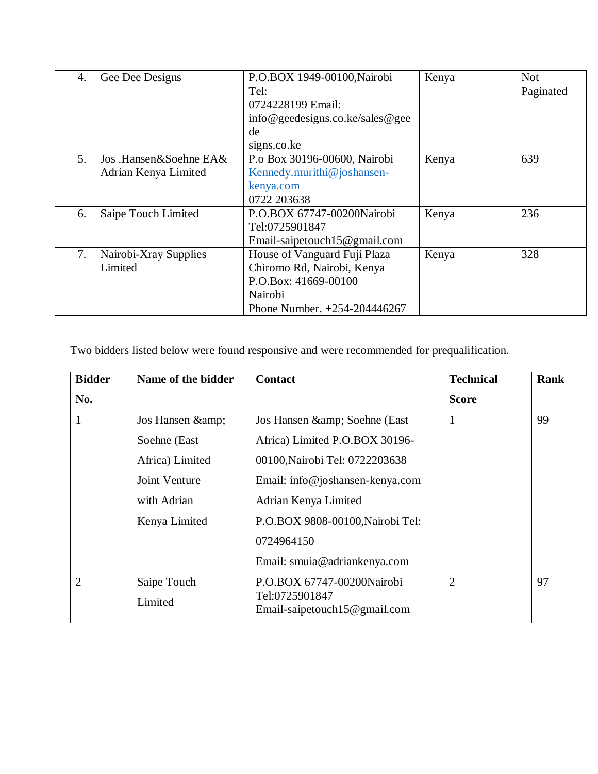| 4. | Gee Dee Designs        | P.O.BOX 1949-00100, Nairobi     | Kenya | <b>Not</b> |
|----|------------------------|---------------------------------|-------|------------|
|    |                        | Tel:                            |       | Paginated  |
|    |                        | 0724228199 Email:               |       |            |
|    |                        | info@geedesigns.co.ke/sales@gee |       |            |
|    |                        | de                              |       |            |
|    |                        | signs.co.ke                     |       |            |
| 5. | Jos .Hansen&Soehne EA& | P.o Box 30196-00600, Nairobi    | Kenya | 639        |
|    | Adrian Kenya Limited   | Kennedy.murithi@joshansen-      |       |            |
|    |                        | kenya.com                       |       |            |
|    |                        | 0722 203638                     |       |            |
| 6. | Saipe Touch Limited    | P.O.BOX 67747-00200Nairobi      | Kenya | 236        |
|    |                        | Tel:0725901847                  |       |            |
|    |                        | Email-saipetouch15@gmail.com    |       |            |
| 7. | Nairobi-Xray Supplies  | House of Vanguard Fuji Plaza    | Kenya | 328        |
|    | Limited                | Chiromo Rd, Nairobi, Kenya      |       |            |
|    |                        | P.O.Box: 41669-00100            |       |            |
|    |                        | Nairobi                         |       |            |
|    |                        | Phone Number. +254-204446267    |       |            |

Two bidders listed below were found responsive and were recommended for prequalification.

| <b>Bidder</b>  | Name of the bidder     | <b>Contact</b>                               | <b>Technical</b> | <b>Rank</b> |
|----------------|------------------------|----------------------------------------------|------------------|-------------|
| No.            |                        |                                              | <b>Score</b>     |             |
| 1              | Jos Hansen &           | Jos Hansen & Soehne (East                    | 1                | 99          |
|                | Soehne (East           | Africa) Limited P.O.BOX 30196-               |                  |             |
|                | Africa) Limited        | 00100, Nairobi Tel: 0722203638               |                  |             |
|                | Joint Venture          | Email: info@joshansen-kenya.com              |                  |             |
|                | with Adrian            | Adrian Kenya Limited                         |                  |             |
|                | Kenya Limited          | P.O.BOX 9808-00100, Nairobi Tel:             |                  |             |
|                |                        | 0724964150                                   |                  |             |
|                |                        | Email: smuia@adriankenya.com                 |                  |             |
| $\overline{2}$ | Saipe Touch<br>Limited | P.O.BOX 67747-00200Nairobi<br>Tel:0725901847 | $\overline{2}$   | 97          |
|                |                        | Email-saipetouch15@gmail.com                 |                  |             |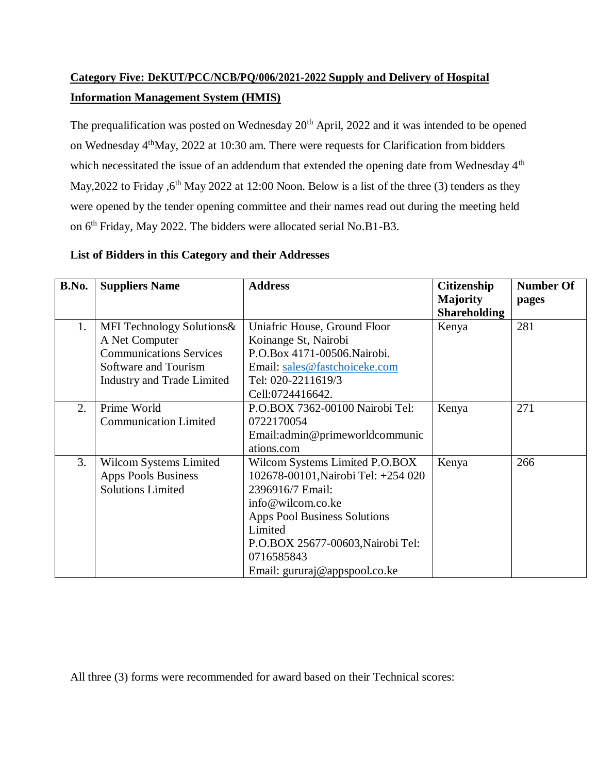# **Category Five: DeKUT/PCC/NCB/PQ/006/2021-2022 Supply and Delivery of Hospital Information Management System (HMIS)**

The prequalification was posted on Wednesday 20<sup>th</sup> April, 2022 and it was intended to be opened on Wednesday 4thMay, 2022 at 10:30 am. There were requests for Clarification from bidders which necessitated the issue of an addendum that extended the opening date from Wednesday 4<sup>th</sup> May, 2022 to Friday ,  $6<sup>th</sup>$  May 2022 at 12:00 Noon. Below is a list of the three (3) tenders as they were opened by the tender opening committee and their names read out during the meeting held on 6<sup>th</sup> Friday, May 2022. The bidders were allocated serial No.B1-B3.

## **List of Bidders in this Category and their Addresses**

| B.No. | <b>Suppliers Name</b>                                                                                                                      | <b>Address</b>                                                                                                                                                                                                                                       | <b>Citizenship</b><br><b>Majority</b><br><b>Shareholding</b> | <b>Number Of</b><br>pages |
|-------|--------------------------------------------------------------------------------------------------------------------------------------------|------------------------------------------------------------------------------------------------------------------------------------------------------------------------------------------------------------------------------------------------------|--------------------------------------------------------------|---------------------------|
| 1.    | MFI Technology Solutions&<br>A Net Computer<br><b>Communications Services</b><br>Software and Tourism<br><b>Industry and Trade Limited</b> | Uniafric House, Ground Floor<br>Koinange St, Nairobi<br>P.O.Box 4171-00506. Nairobi.<br>Email: sales@fastchoiceke.com<br>Tel: 020-2211619/3<br>Cell:0724416642.                                                                                      | Kenya                                                        | 281                       |
| 2.    | Prime World<br><b>Communication Limited</b>                                                                                                | P.O.BOX 7362-00100 Nairobi Tel:<br>0722170054<br>Email: admin@primeworldcommunic<br>ations.com                                                                                                                                                       | Kenya                                                        | 271                       |
| 3.    | Wilcom Systems Limited<br><b>Apps Pools Business</b><br><b>Solutions Limited</b>                                                           | Wilcom Systems Limited P.O.BOX<br>102678-00101, Nairobi Tel: +254 020<br>2396916/7 Email:<br>info@wilcom.co.ke<br><b>Apps Pool Business Solutions</b><br>Limited<br>P.O.BOX 25677-00603, Nairobi Tel:<br>0716585843<br>Email: gururaj@appspool.co.ke | Kenya                                                        | 266                       |

All three (3) forms were recommended for award based on their Technical scores: